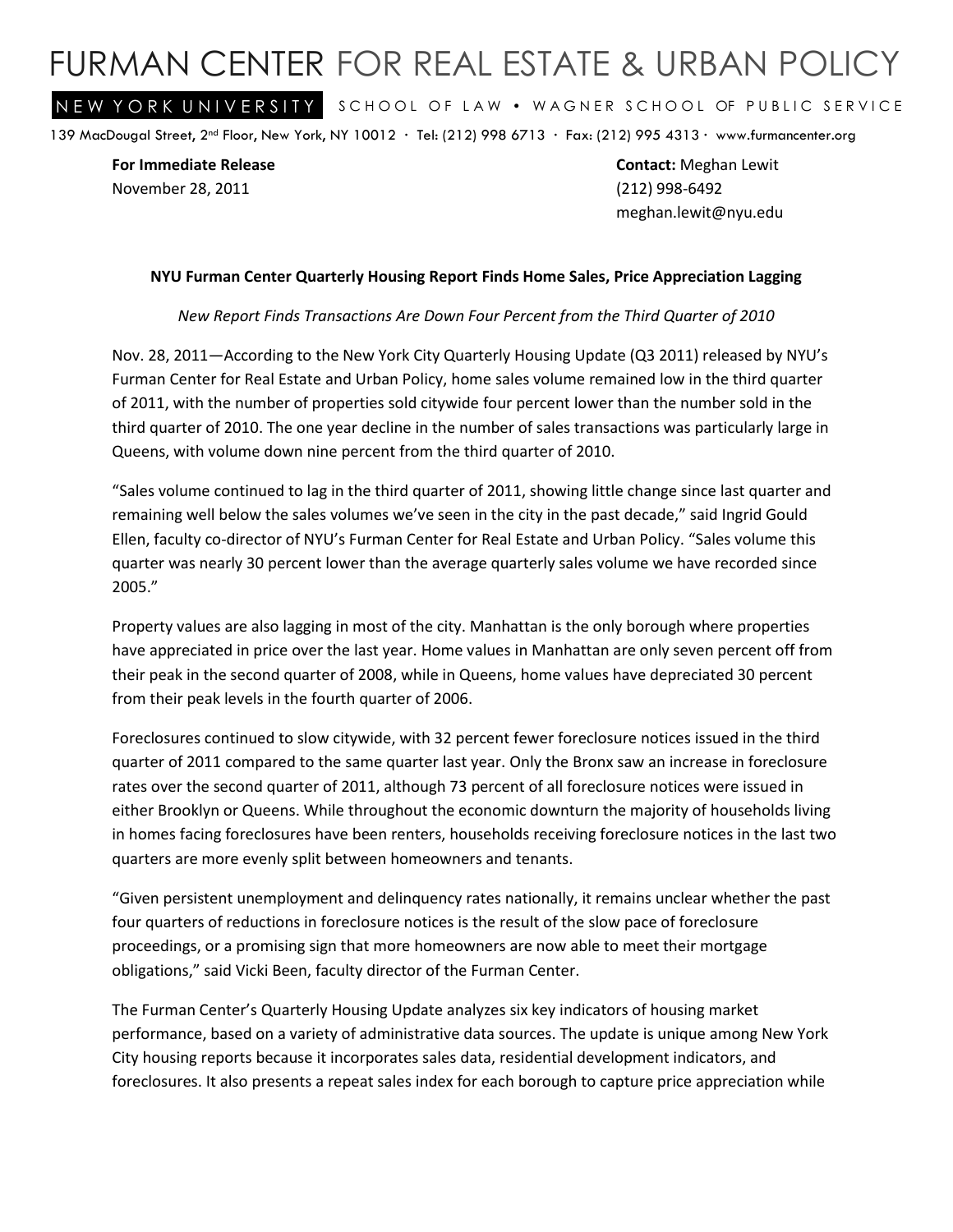## FURMAN CENTER FOR REAL ESTATE & URBAN POLICY

NEW YORK UNIVERSITY SCHOOL OF LAW . WAGNER SCHOOL OF PUBLIC SERVICE

139 MacDougal Street, 2nd Floor, New York, NY 10012 ∙ Tel: (212) 998 6713 ∙ Fax: (212) 995 4313 ∙ www.furmancenter.org

November 28, 2011 (212) 998-6492

**For Immediate Release Contact:** Meghan Lewit meghan.lewit@nyu.edu

## **NYU Furman Center Quarterly Housing Report Finds Home Sales, Price Appreciation Lagging**

## *New Report Finds Transactions Are Down Four Percent from the Third Quarter of 2010*

Nov. 28, 2011—According to the New York City Quarterly Housing Update (Q3 2011) released by NYU's Furman Center for Real Estate and Urban Policy, home sales volume remained low in the third quarter of 2011, with the number of properties sold citywide four percent lower than the number sold in the third quarter of 2010. The one year decline in the number of sales transactions was particularly large in Queens, with volume down nine percent from the third quarter of 2010.

"Sales volume continued to lag in the third quarter of 2011, showing little change since last quarter and remaining well below the sales volumes we've seen in the city in the past decade," said Ingrid Gould Ellen, faculty co-director of NYU's Furman Center for Real Estate and Urban Policy. "Sales volume this quarter was nearly 30 percent lower than the average quarterly sales volume we have recorded since 2005."

Property values are also lagging in most of the city. Manhattan is the only borough where properties have appreciated in price over the last year. Home values in Manhattan are only seven percent off from their peak in the second quarter of 2008, while in Queens, home values have depreciated 30 percent from their peak levels in the fourth quarter of 2006.

Foreclosures continued to slow citywide, with 32 percent fewer foreclosure notices issued in the third quarter of 2011 compared to the same quarter last year. Only the Bronx saw an increase in foreclosure rates over the second quarter of 2011, although 73 percent of all foreclosure notices were issued in either Brooklyn or Queens. While throughout the economic downturn the majority of households living in homes facing foreclosures have been renters, households receiving foreclosure notices in the last two quarters are more evenly split between homeowners and tenants.

"Given persistent unemployment and delinquency rates nationally, it remains unclear whether the past four quarters of reductions in foreclosure notices is the result of the slow pace of foreclosure proceedings, or a promising sign that more homeowners are now able to meet their mortgage obligations," said Vicki Been, faculty director of the Furman Center.

The Furman Center's Quarterly Housing Update analyzes six key indicators of housing market performance, based on a variety of administrative data sources. The update is unique among New York City housing reports because it incorporates sales data, residential development indicators, and foreclosures. It also presents a repeat sales index for each borough to capture price appreciation while